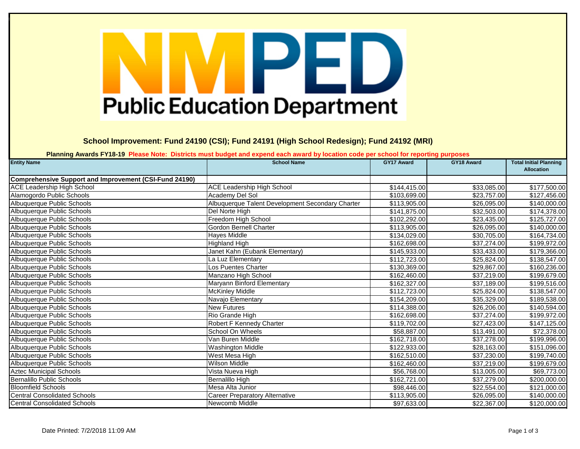## PED **Public Education Department**

**School Improvement: Fund 24190 (CSI); Fund 24191 (High School Redesign); Fund 24192 (MRI)**

**Planning Awards FY18-19 Please Note: Districts must budget and expend each award by location code per school for reporting purposes**

| <b>Entity Name</b>                                            | <b>School Name</b>                               | <b>GY17 Award</b> | GY18 Award  | <b>Total Initial Planning</b><br><b>Allocation</b> |
|---------------------------------------------------------------|--------------------------------------------------|-------------------|-------------|----------------------------------------------------|
| <b>Comprehensive Support and Improvement (CSI-Fund 24190)</b> |                                                  |                   |             |                                                    |
| <b>ACE Leadership High School</b>                             | <b>ACE Leadership High School</b>                | \$144,415.00      | \$33,085.00 | \$177,500.00                                       |
| Alamogordo Public Schools                                     | Academy Del Sol                                  | \$103,699.00      | \$23,757.00 | \$127,456.00                                       |
| Albuquerque Public Schools                                    | Albuquerque Talent Development Secondary Charter | \$113,905.00      | \$26,095.00 | \$140,000.00                                       |
| Albuquerque Public Schools                                    | Del Norte High                                   | \$141,875.00      | \$32,503.00 | \$174,378.00                                       |
| Albuquerque Public Schools                                    | Freedom High School                              | \$102,292.00      | \$23,435.00 | \$125,727.00                                       |
| Albuquerque Public Schools                                    | <b>Gordon Bernell Charter</b>                    | \$113,905.00      | \$26,095.00 | \$140,000.00                                       |
| Albuquerque Public Schools                                    | Hayes Middle                                     | \$134,029.00      | \$30,705.00 | \$164,734.00                                       |
| Albuquerque Public Schools                                    | <b>Highland High</b>                             | \$162,698.00      | \$37,274.00 | \$199,972.00                                       |
| Albuquerque Public Schools                                    | Janet Kahn (Eubank Elementary)                   | \$145,933.00      | \$33,433.00 | \$179,366.00                                       |
| Albuquerque Public Schools                                    | La Luz Elementary                                | \$112,723.00      | \$25,824.00 | \$138,547.00                                       |
| Albuquerque Public Schools                                    | Los Puentes Charter                              | \$130,369.00      | \$29,867.00 | \$160,236.00                                       |
| Albuquerque Public Schools                                    | Manzano High School                              | \$162,460.00      | \$37,219.00 | \$199,679.00                                       |
| Albuquerque Public Schools                                    | Maryann Binford Elementary                       | \$162,327.00      | \$37,189.00 | \$199,516.00                                       |
| Albuquerque Public Schools                                    | <b>McKinley Middle</b>                           | \$112,723.00      | \$25,824.00 | \$138,547.00                                       |
| Albuquerque Public Schools                                    | Navajo Elementary                                | \$154,209.00      | \$35,329.00 | \$189,538.00                                       |
| Albuquerque Public Schools                                    | <b>New Futures</b>                               | \$114,388.00      | \$26,206.00 | \$140,594.00                                       |
| Albuquerque Public Schools                                    | Rio Grande High                                  | \$162,698.00      | \$37,274.00 | \$199,972.00                                       |
| Albuquerque Public Schools                                    | Robert F Kennedy Charter                         | \$119,702.00      | \$27,423.00 | \$147,125.00                                       |
| Albuquerque Public Schools                                    | <b>School On Wheels</b>                          | \$58,887.00       | \$13,491.00 | \$72,378.00                                        |
| Albuquerque Public Schools                                    | Van Buren Middle                                 | \$162,718.00      | \$37,278.00 | \$199,996.00                                       |
| Albuquerque Public Schools                                    | <b>Washington Middle</b>                         | \$122,933.00      | \$28,163.00 | \$151,096.00                                       |
| Albuquerque Public Schools                                    | West Mesa High                                   | \$162,510.00      | \$37,230.00 | \$199,740.00                                       |
| Albuquerque Public Schools                                    | Wilson Middle                                    | \$162,460.00      | \$37,219.00 | \$199,679.00                                       |
| <b>Aztec Municipal Schools</b>                                | Vista Nueva High                                 | \$56,768.00       | \$13,005.00 | \$69,773.00                                        |
| <b>Bernalillo Public Schools</b>                              | <b>Bernalillo High</b>                           | \$162,721.00      | \$37,279.00 | \$200,000.00                                       |
| <b>Bloomfield Schools</b>                                     | Mesa Alta Junior                                 | \$98,446.00       | \$22,554.00 | \$121,000.00                                       |
| <b>Central Consolidated Schools</b>                           | <b>Career Preparatory Alternative</b>            | \$113,905.00      | \$26,095.00 | \$140,000.00                                       |
| <b>Central Consolidated Schools</b>                           | Newcomb Middle                                   | \$97,633.00       | \$22,367.00 | \$120,000.00                                       |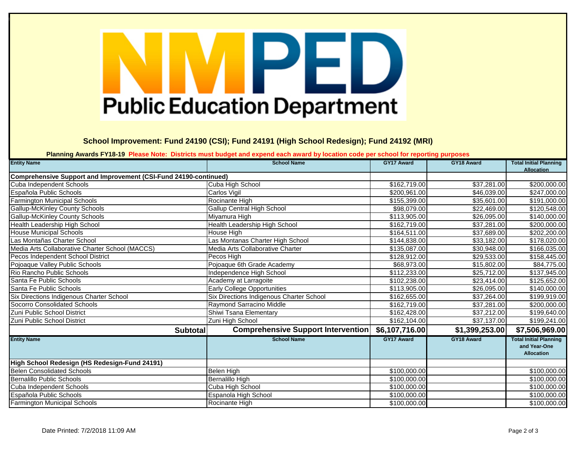## PED **Public Education Department**

**School Improvement: Fund 24190 (CSI); Fund 24191 (High School Redesign); Fund 24192 (MRI)**

**Planning Awards FY18-19 Please Note: Districts must budget and expend each award by location code per school for reporting purposes**

| <b>Entity Name</b>                                               | <b>School Name</b>                        | GY17 Award        | GY18 Award     | <b>Total Initial Planning</b><br><b>Allocation</b>                 |
|------------------------------------------------------------------|-------------------------------------------|-------------------|----------------|--------------------------------------------------------------------|
| Comprehensive Support and Improvement (CSI-Fund 24190-continued) |                                           |                   |                |                                                                    |
| Cuba Independent Schools                                         | Cuba High School                          | \$162,719.00      | \$37,281.00    | \$200,000.00                                                       |
| Española Public Schools                                          | <b>Carlos Vigil</b>                       | \$200,961.00      | \$46,039.00    | \$247,000.00                                                       |
| Farmington Municipal Schools                                     | Rocinante High                            | \$155,399.00      | \$35,601.00    | \$191,000.00                                                       |
| <b>Gallup-McKinley County Schools</b>                            | <b>Gallup Central High School</b>         | \$98,079.00       | \$22,469.00    | \$120,548.00                                                       |
| <b>Gallup-McKinley County Schools</b>                            | Miyamura High                             | \$113,905.00      | \$26,095.00    | \$140,000.00                                                       |
| Health Leadership High School                                    | Health Leadership High School             | \$162,719.00      | \$37,281.00    | \$200,000.00                                                       |
| <b>House Municipal Schools</b>                                   | House High                                | \$164,511.00      | \$37,689.00    | \$202,200.00                                                       |
| Las Montañas Charter School                                      | Las Montanas Charter High School          | \$144,838.00      | \$33,182.00    | \$178,020.00                                                       |
| Media Arts Collaborative Charter School (MACCS)                  | Media Arts Collaborative Charter          | \$135,087.00      | \$30,948.00    | \$166,035.00                                                       |
| Pecos Independent School District                                | Pecos High                                | \$128,912.00      | \$29,533.00    | \$158,445.00                                                       |
| Pojoaque Valley Public Schools                                   | Pojoaque 6th Grade Academy                | \$68,973.00       | \$15,802.00    | \$84,775.00                                                        |
| Rio Rancho Public Schools                                        | <b>Independence High School</b>           | \$112,233.00      | \$25,712.00    | \$137,945.00                                                       |
| Santa Fe Public Schools                                          | Academy at Larragoite                     | \$102,238.00      | \$23,414.00    | \$125,652.00                                                       |
| Santa Fe Public Schools                                          | Early College Opportunities               | \$113,905.00      | \$26,095.00    | \$140,000.00                                                       |
| Six Directions Indigenous Charter School                         | Six Directions Indigenous Charter School  | \$162,655.00      | \$37,264.00    | \$199,919.00                                                       |
| Socorro Consolidated Schools                                     | Raymond Sarracino Middle                  | \$162,719.00      | \$37,281.00    | \$200,000.00                                                       |
| Zuni Public School District                                      | Shiwi Tsana Elementary                    | \$162,428.00      | \$37,212.00    | \$199,640.00                                                       |
| Zuni Public School District                                      | Zuni High School                          | \$162,104.00      | \$37,137.00    | \$199,241.00                                                       |
| <b>Subtotal</b>                                                  | <b>Comprehensive Support Intervention</b> | \$6,107,716.00    | \$1,399,253.00 | \$7,506,969.00                                                     |
| <b>Entity Name</b>                                               | <b>School Name</b>                        | <b>GY17 Award</b> | GY18 Award     | <b>Total Initial Planning</b><br>and Year-One<br><b>Allocation</b> |
| High School Redesign (HS Redesign-Fund 24191)                    |                                           |                   |                |                                                                    |
| <b>Belen Consolidated Schools</b>                                | Belen High                                | \$100,000.00      |                | \$100,000.00                                                       |
| Bernalillo Public Schools                                        | Bernalillo High                           | \$100,000.00      |                | \$100,000.00                                                       |
| Cuba Independent Schools                                         | Cuba High School                          | \$100,000.00      |                | \$100,000.00                                                       |
| Española Public Schools                                          | Espanola High School                      | \$100,000.00      |                | \$100,000.00                                                       |
| <b>Farmington Municipal Schools</b>                              | Rocinante High                            | \$100,000.00      |                | \$100,000.00                                                       |